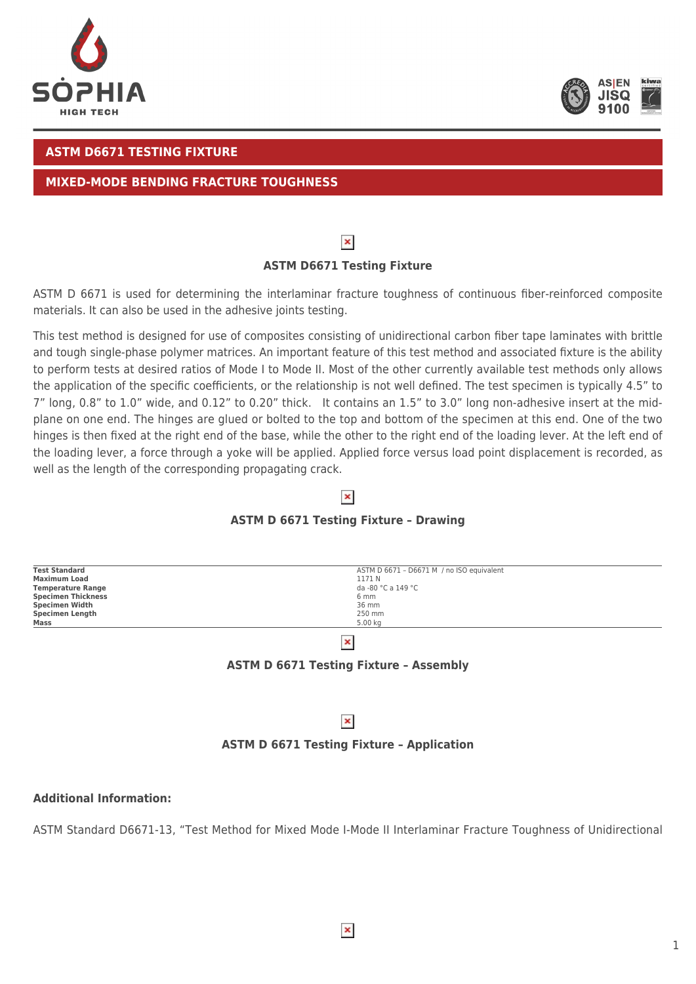



# **ASTM D6671 TESTING FIXTURE**

## **MIXED-MODE BENDING FRACTURE TOUGHNESS**

# $\pmb{\times}$

# **ASTM D6671 Testing Fixture**

ASTM D 6671 is used for determining the interlaminar fracture toughness of continuous fiber-reinforced composite materials. It can also be used in the adhesive joints testing.

This test method is designed for use of composites consisting of unidirectional carbon fiber tape laminates with brittle and tough single-phase polymer matrices. An important feature of this test method and associated fixture is the ability to perform tests at desired ratios of Mode I to Mode II. Most of the other currently available test methods only allows the application of the specific coefficients, or the relationship is not well defined. The test specimen is typically 4.5" to 7" long, 0.8" to 1.0" wide, and 0.12" to 0.20" thick. It contains an 1.5" to 3.0" long non-adhesive insert at the midplane on one end. The hinges are glued or bolted to the top and bottom of the specimen at this end. One of the two hinges is then fixed at the right end of the base, while the other to the right end of the loading lever. At the left end of the loading lever, a force through a yoke will be applied. Applied force versus load point displacement is recorded, as well as the length of the corresponding propagating crack.

# **ASTM D 6671 Testing Fixture – Drawing**

 $\pmb{\times}$ 

| <b>Test Standard</b>      | ASTM D 6671 - D6671 M / no ISO equivalent |
|---------------------------|-------------------------------------------|
| <b>Maximum Load</b>       | 1171 N                                    |
| <b>Temperature Range</b>  | da -80 °C a 149 °C                        |
| <b>Specimen Thickness</b> | 6 mm                                      |
| Specimen Width            | 36 mm                                     |
| <b>Specimen Length</b>    | 250 mm                                    |
| Mass                      | 5.00 kg                                   |
|                           |                                           |

 $\pmb{\times}$ 

## **ASTM D 6671 Testing Fixture – Assembly**

## $\pmb{\times}$

#### **ASTM D 6671 Testing Fixture – Application**

### **Additional Information:**

ASTM Standard D6671-13, "Test Method for Mixed Mode I-Mode II Interlaminar Fracture Toughness of Unidirectional